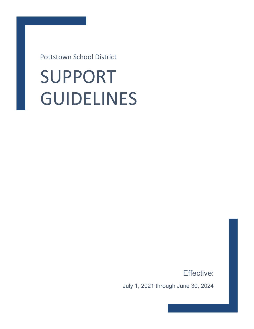Pottstown School District

# SUPPORT GUIDELINES

Effective:

July 1, 2021 through June 30, 2024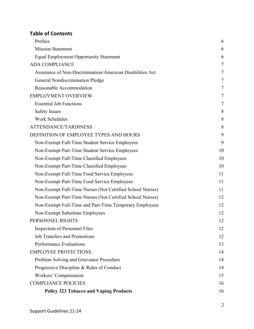# **Table of Contents**

| Preface                                                   | 6  |
|-----------------------------------------------------------|----|
| <b>Mission Statement</b>                                  | 6  |
| <b>Equal Employment Opportunity Statement</b>             | 6  |
| <b>ADA COMPLIANCE</b>                                     | 7  |
| Assurance of Non-Discrimination/American Disabilities Act | 7  |
| General Nondiscrimination Pledge                          | 7  |
| Reasonable Accommodation                                  | 7  |
| <b>EMPLOYMENT OVERVIEW</b>                                | 7  |
| <b>Essential Job Functions</b>                            | 7  |
| <b>Safety Issues</b>                                      | 8  |
| <b>Work Schedules</b>                                     | 8  |
| ATTENDANCE/TARDINESS                                      | 8  |
| DEFINITION OF EMPLOYEE TYPES AND HOURS                    | 9  |
| Non-Exempt Full-Time Student Service Employees            | 9  |
| Non-Exempt Part-Time Student Service Employees            | 10 |
| Non-Exempt Full-Time Classified Employees                 | 10 |
| Non-Exempt Part-Time Classified Employees                 | 10 |
| Non-Exempt Full-Time Food Service Employees               | 11 |
| Non-Exempt Part-Time Food Service Employees               | 11 |
| Non-Exempt Full-Time Nurses (Not Certified School Nurses) | 11 |
| Non-Exempt Part-Time Nurses (Not Certified School Nurses) | 12 |
| Non-Exempt Full-Time and Part-Time Temporary Employees    | 12 |
| Non-Exempt Substitute Employees                           | 12 |
| PERSONNEL RIGHTS                                          | 12 |
| Inspection of Personnel Files                             | 12 |
| <b>Job Transfers and Promotions</b>                       | 12 |
| Performance Evaluations                                   | 13 |
| <b>EMPLOYEE PROTECTIONS</b>                               | 14 |
| Problem Solving and Grievance Procedure                   | 14 |
| Progressive Discipline & Rules of Conduct                 | 14 |
| Workers' Compensation                                     | 15 |
| <b>COMPLIANCE POLICIES</b>                                | 16 |
| <b>Policy 323 Tobacco and Vaping Products</b>             | 16 |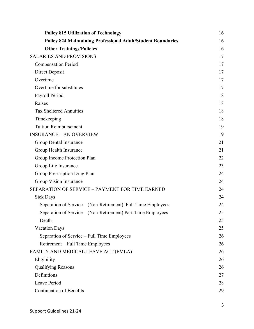| <b>Policy 815 Utilization of Technology</b>                         | 16 |
|---------------------------------------------------------------------|----|
| <b>Policy 824 Maintaining Professional Adult/Student Boundaries</b> | 16 |
| <b>Other Trainings/Policies</b>                                     | 16 |
| <b>SALARIES AND PROVISIONS</b>                                      | 17 |
| <b>Compensation Period</b>                                          | 17 |
| Direct Deposit                                                      | 17 |
| Overtime                                                            | 17 |
| Overtime for substitutes                                            | 17 |
| Payroll Period                                                      | 18 |
| Raises                                                              | 18 |
| <b>Tax Sheltered Annuities</b>                                      | 18 |
| Timekeeping                                                         | 18 |
| <b>Tuition Reimbursement</b>                                        | 19 |
| <b>INSURANCE - AN OVERVIEW</b>                                      | 19 |
| Group Dental Insurance                                              | 21 |
| Group Health Insurance                                              | 21 |
| Group Income Protection Plan                                        | 22 |
| Group Life Insurance                                                | 23 |
| Group Prescription Drug Plan                                        | 24 |
| Group Vision Insurance                                              | 24 |
| SEPARATION OF SERVICE - PAYMENT FOR TIME EARNED                     | 24 |
| <b>Sick Days</b>                                                    | 24 |
| Separation of Service – (Non-Retirement) Full-Time Employees        | 24 |
| Separation of Service – (Non-Retirement) Part-Time Employees        | 25 |
| Death                                                               | 25 |
| <b>Vacation Days</b>                                                | 25 |
| Separation of Service – Full Time Employees                         | 26 |
| Retirement – Full Time Employees                                    | 26 |
| FAMILY AND MEDICAL LEAVE ACT (FMLA)                                 | 26 |
| Eligibility                                                         | 26 |
| <b>Qualifying Reasons</b>                                           | 26 |
| Definitions                                                         | 27 |
| Leave Period                                                        | 28 |
| <b>Continuation of Benefits</b>                                     | 29 |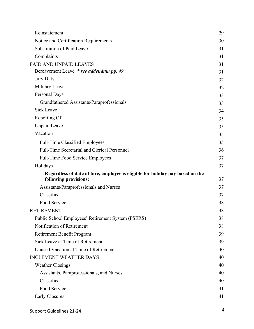| Reinstatement                                                                                          | 29 |
|--------------------------------------------------------------------------------------------------------|----|
| Notice and Certification Requirements                                                                  | 30 |
| <b>Substitution of Paid Leave</b>                                                                      | 31 |
| Complaints                                                                                             | 31 |
| PAID AND UNPAID LEAVES                                                                                 | 31 |
| Bereavement Leave * see addendum pg. 49                                                                | 31 |
| <b>Jury Duty</b>                                                                                       | 32 |
| Military Leave                                                                                         | 32 |
| Personal Days                                                                                          | 33 |
| Grandfathered Assistants/Paraprofessionals                                                             | 33 |
| <b>Sick Leave</b>                                                                                      | 34 |
| Reporting Off                                                                                          | 35 |
| <b>Unpaid Leave</b>                                                                                    | 35 |
| Vacation                                                                                               | 35 |
| <b>Full-Time Classified Employees</b>                                                                  | 35 |
| Full-Time Secretarial and Clerical Personnel                                                           | 36 |
| <b>Full-Time Food Service Employees</b>                                                                | 37 |
| Holidays                                                                                               | 37 |
| Regardless of date of hire, employee is eligible for holiday pay based on the<br>following provisions: | 37 |
| Assistants/Paraprofessionals and Nurses                                                                | 37 |
| Classified                                                                                             | 37 |
| Food Service                                                                                           | 38 |
| <b>RETIREMENT</b>                                                                                      | 38 |
| Public School Employees' Retirement System (PSERS)                                                     | 38 |
| Notification of Retirement                                                                             | 38 |
| Retirement Benefit Program                                                                             | 39 |
| Sick Leave at Time of Retirement                                                                       | 39 |
| Unused Vacation at Time of Retirement                                                                  | 40 |
| <b>INCLEMENT WEATHER DAYS</b>                                                                          | 40 |
| <b>Weather Closings</b>                                                                                | 40 |
| Assistants, Paraprofessionals, and Nurses                                                              | 40 |
| Classified                                                                                             | 40 |
| Food Service                                                                                           | 41 |
| Early Closures                                                                                         | 41 |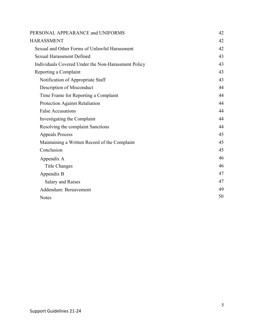| PERSONAL APPEARANCE and UNIFORMS                    | 42 |
|-----------------------------------------------------|----|
| <b>HARASSMENT</b>                                   | 42 |
| Sexual and Other Forms of Unlawful Harassment       | 42 |
| <b>Sexual Harassment Defined</b>                    | 43 |
| Individuals Covered Under the Non-Harassment Policy | 43 |
| Reporting a Complaint                               | 43 |
| Notification of Appropriate Staff                   | 43 |
| Description of Misconduct                           | 44 |
| Time Frame for Reporting a Complaint                | 44 |
| Protection Against Retaliation                      | 44 |
| <b>False Accusations</b>                            | 44 |
| Investigating the Complaint                         | 44 |
| Resolving the complaint Sanctions                   | 44 |
| <b>Appeals Process</b>                              | 45 |
| Maintaining a Written Record of the Complaint       | 45 |
| Conclusion                                          | 45 |
| Appendix A                                          | 46 |
| <b>Title Changes</b>                                | 46 |
| Appendix B                                          | 47 |
| Salary and Raises                                   | 47 |
| Addendum: Bereavement                               | 49 |
| <b>Notes</b>                                        | 50 |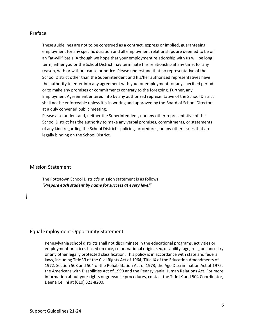# Preface

These guidelines are not to be construed as a contract, express or implied, guaranteeing employment for any specific duration and all employment relationships are deemed to be on an "at-will" basis. Although we hope that your employment relationship with us will be long term, either you or the School District may terminate this relationship at any time, for any reason, with or without cause or notice. Please understand that no representative of the School District other than the Superintendent and his/her authorized representatives have the authority to enter into any agreement with you for employment for any specified period or to make any promises or commitments contrary to the foregoing. Further, any Employment Agreement entered into by any authorized representative of the School District shall not be enforceable unless it is in writing and approved by the Board of School Directors at a duly convened public meeting.

Please also understand, neither the Superintendent, nor any other representative of the School District has the authority to make any verbal promises, commitments, or statements of any kind regarding the School District's policies, procedures, or any other issues that are legally binding on the School District.

### Mission Statement

The Pottstown School District's mission statement is as follows: *"Prepare each student by name for success at every level"*

# Equal Employment Opportunity Statement

Pennsylvania school districts shall not discriminate in the educational programs, activities or employment practices based on race, color, national origin, sex, disability, age, religion, ancestry or any other legally protected classification. This policy is in accordance with state and federal laws, including Title VI of the Civil Rights Act of 1964, Title IX of the Education Amendments of 1972. Section 503 and 504 of the Rehabilitation Act of 1973, the Age Discrimination Act of 1975, the Americans with Disabilities Act of 1990 and the Pennsylvania Human Relations Act. For more information about your rights or grievance procedures, contact the Title IX and 504 Coordinator, Deena Cellini at (610) 323-8200.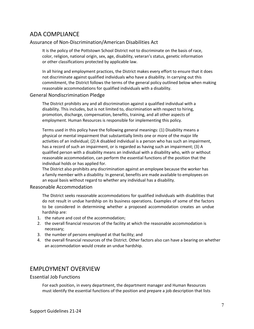# ADA COMPLIANCE

# Assurance of Non-Discrimination/American Disabilities Act

It is the policy of the Pottstown School District not to discriminate on the basis of race, color, religion, national origin, sex, age, disability, veteran's status, genetic information or other classifications protected by applicable law.

In all hiring and employment practices, the District makes every effort to ensure that it does not discriminate against qualified individuals who have a disability. In carrying out this commitment, the District follows the terms of the general policy outlined below when making reasonable accommodations for qualified individuals with a disability.

### General Nondiscrimination Pledge

The District prohibits any and all discrimination against a qualified individual with a disability. This includes, but is not limited to, discrimination with respect to hiring, promotion, discharge, compensation, benefits, training, and all other aspects of employment. Human Resources is responsible for implementing this policy.

Terms used in this policy have the following general meanings: (1) Disability means a physical or mental impairment that substantially limits one or more of the major life activities of an individual; (2) A disabled individual is a person who has such an impairment, has a record of such an impairment, or is regarded as having such an impairment; (3) A qualified person with a disability means an individual with a disability who, with or without reasonable accommodation, can perform the essential functions of the position that the individual holds or has applied for.

The District also prohibits any discrimination against an employee because the worker has a family member with a disability. In general, benefits are made available to employees on an equal basis without regard to whether any individual has a disability.

### Reasonable Accommodation

The District seeks reasonable accommodations for qualified individuals with disabilities that do not result in undue hardship on its business operations. Examples of some of the factors to be considered in determining whether a proposed accommodation creates an undue hardship are:

- 1. the nature and cost of the accommodation;
- 2. the overall financial resources of the facility at which the reasonable accommodation is necessary;
- 3. the number of persons employed at that facility; and
- 4. the overall financial resources of the District. Other factors also can have a bearing on whether an accommodation would create an undue hardship.

# EMPLOYMENT OVERVIEW

### Essential Job Functions

For each position, in every department, the department manager and Human Resources must identify the essential functions of the position and prepare a job description that lists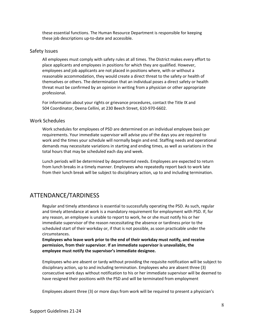these essential functions. The Human Resource Department is responsible for keeping these job descriptions up-to-date and accessible.

## Safety Issues

All employees must comply with safety rules at all times. The District makes every effort to place applicants and employees in positions for which they are qualified. However, employees and job applicants are not placed in positions where, with or without a reasonable accommodation, they would create a direct threat to the safety or health of themselves or others. The determination that an individual poses a direct safety or health threat must be confirmed by an opinion in writing from a physician or other appropriate professional.

For information about your rights or grievance procedures, contact the Title IX and 504 Coordinator, Deena Cellini, at 230 Beech Street, 610-970-6602.

### Work Schedules

Work schedules for employees of PSD are determined on an individual employee basis per requirements. Your immediate supervisor will advise you of the days you are required to work and the times your schedule will normally begin and end. Staffing needs and operational demands may necessitate variations in starting and ending times, as well as variations in the total hours that may be scheduled each day and week.

Lunch periods will be determined by departmental needs. Employees are expected to return from lunch breaks in a timely manner. Employees who repeatedly report back to work late from their lunch break will be subject to disciplinary action, up to and including termination.

# ATTENDANCE/TARDINESS

Regular and timely attendance is essential to successfully operating the PSD. As such, regular and timely attendance at work is a mandatory requirement for employment with PSD. If, for any reason, an employee is unable to report to work, he or she must notify his or her immediate supervisor of the reason necessitating the absence or tardiness prior to the scheduled start of their workday or, if that is not possible, as soon practicable under the circumstances.

**Employees who leave work prior to the end of their workday must notify, and receive permission, from their supervisor. If an immediate supervisor is unavailable, the employee must notify the supervisor's immediate designee.**

Employees who are absent or tardy without providing the requisite notification will be subject to disciplinary action, up to and including termination. Employees who are absent three (3) consecutive work days without notification to his or her immediate supervisor will be deemed to have resigned their positions with the PSD and will be terminated from employment

Employees absent three (3) or more days from work will be required to present a physician's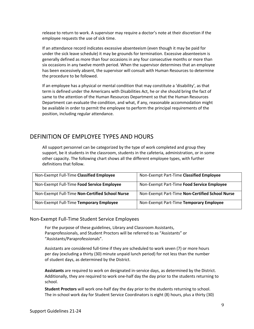release to return to work. A supervisor may require a doctor's note at their discretion if the employee requests the use of sick time.

If an attendance record indicates excessive absenteeism (even though it may be paid for under the sick leave schedule) it may be grounds for termination. Excessive absenteeism is generally defined as more than four occasions in any four consecutive months or more than six occasions in any twelve month period. When the supervisor determines that an employee has been excessively absent, the supervisor will consult with Human Resources to determine the procedure to be followed.

If an employee has a physical or mental condition that may constitute a 'disability', as that term is defined under the Americans with Disabilities Act, he or she should bring the fact of same to the attention of the Human Resources Department so that the Human Resources Department can evaluate the condition, and what, if any, reasonable accommodation might be available in order to permit the employee to perform the principal requirements of the position, including regular attendance.

# DEFINITION OF EMPLOYEE TYPES AND HOURS

All support personnel can be categorized by the type of work completed and group they support, be it students in the classroom, students in the cafeteria, administration, or in some other capacity. The following chart shows all the different employee types, with further definitions that follow.

| Non-Exempt Full-Time Classified Employee        | Non-Exempt Part-Time Classified Employee        |
|-------------------------------------------------|-------------------------------------------------|
| Non-Exempt Full-Time Food Service Employee      | Non-Exempt Part-Time Food Service Employee      |
| Non-Exempt Full-Time Non-Certified School Nurse | Non-Exempt Part-Time Non-Certified School Nurse |
| Non-Exempt Full-Time Temporary Employee         | Non-Exempt Part-Time Temporary Employee         |

# Non-Exempt Full-Time Student Service Employees

For the purpose of these guidelines, Library and Classroom Assistants, Paraprofessionals, and Student Proctors will be referred to as "Assistants" or "Assistants/Paraprofessionals".

Assistants are considered full-time if they are scheduled to work seven (7) or more hours per day (excluding a thirty (30) minute unpaid lunch period) for not less than the number of student days, as determined by the District.

**Assistants** are required to work on designated in-service days, as determined by the District. Additionally, they are required to work one-half day the day prior to the students returning to school.

**Student Proctors** will work one-half day the day prior to the students returning to school. The in-school work day for Student Service Coordinators is eight (8) hours, plus a thirty (30)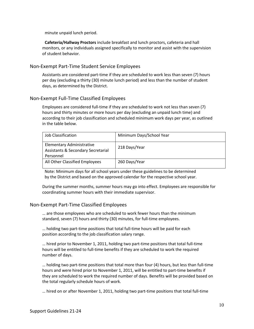minute unpaid lunch period.

**Cafeteria/Hallway Proctors** include breakfast and lunch proctors, cafeteria and hall monitors, or any individuals assigned specifically to monitor and assist with the supervision of student behavior.

# Non-Exempt Part-Time Student Service Employees

Assistants are considered part-time if they are scheduled to work less than seven (7) hours per day (excluding a thirty (30) minute lunch period) and less than the number of student days, as determined by the District.

# Non-Exempt Full-Time Classified Employees

Employees are considered full-time if they are scheduled to work not less than seven (7) hours and thirty minutes or more hours per day (excluding an unpaid lunch time) and according to their job classification and scheduled minimum work days per year, as outlined in the table below.

| Job Classification                                                                             | Minimum Days/School Year |
|------------------------------------------------------------------------------------------------|--------------------------|
| <b>Elementary Administrative</b><br><b>Assistants &amp; Secondary Secretarial</b><br>Personnel | 218 Days/Year            |
| All Other Classified Employees                                                                 | 260 Days/Year            |

Note: Minimum days for all school years under these guidelines to be determined by the District and based on the approved calendar for the respective school year.

During the summer months, summer hours may go into effect. Employees are responsible for coordinating summer hours with their immediate supervisor.

# Non-Exempt Part-Time Classified Employees

… are those employees who are scheduled to work fewer hours than the minimum standard, seven (7) hours and thirty (30) minutes, for full-time employees.

… holding two part-time positions that total full-time hours will be paid for each position according to the job classification salary range.

… hired prior to November 1, 2011, holding two part-time positions that total full-time hours will be entitled to full-time benefits if they are scheduled to work the required number of days.

… holding two part-time positions that total more than four (4) hours, but less than full-time hours and were hired prior to November 1, 2011, will be entitled to part-time benefits if they are scheduled to work the required number of days. Benefits will be provided based on the total regularly schedule hours of work.

… hired on or after November 1, 2011, holding two part-time positions that total full-time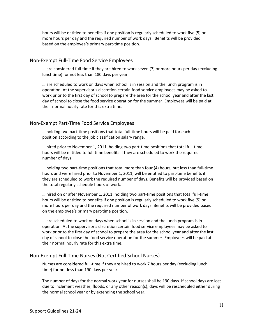hours will be entitled to benefits if one position is regularly scheduled to work five (5) or more hours per day and the required number of work days. Benefits will be provided based on the employee's primary part-time position.

## Non-Exempt Full-Time Food Service Employees

… are considered full-time if they are hired to work seven (7) or more hours per day (excluding lunchtime) for not less than 180 days per year.

… are scheduled to work on days when school is in session and the lunch program is in operation. At the supervisor's discretion certain food service employees may be asked to work prior to the first day of school to prepare the area for the school year and after the last day of school to close the food service operation for the summer. Employees will be paid at their normal hourly rate for this extra time.

# Non-Exempt Part-Time Food Service Employees

… holding two part-time positions that total full-time hours will be paid for each position according to the job classification salary range.

… hired prior to November 1, 2011, holding two part-time positions that total full-time hours will be entitled to full-time benefits if they are scheduled to work the required number of days.

… holding two part-time positions that total more than four (4) hours, but less than full-time hours and were hired prior to November 1, 2011, will be entitled to part-time benefits if they are scheduled to work the required number of days. Benefits will be provided based on the total regularly schedule hours of work.

… hired on or after November 1, 2011, holding two part-time positions that total full-time hours will be entitled to benefits if one position is regularly scheduled to work five (5) or more hours per day and the required number of work days. Benefits will be provided based on the employee's primary part-time position.

… are scheduled to work on days when school is in session and the lunch program is in operation. At the supervisor's discretion certain food service employees may be asked to work prior to the first day of school to prepare the area for the school year and after the last day of school to close the food service operation for the summer. Employees will be paid at their normal hourly rate for this extra time.

### Non-Exempt Full-Time Nurses (Not Certified School Nurses)

Nurses are considered full-time if they are hired to work 7 hours per day (excluding lunch time) for not less than 190 days per year.

The number of days for the normal work year for nurses shall be 190 days. If school days are lost due to inclement weather, floods, or any other reason(s), days will be rescheduled either during the normal school year or by extending the school year.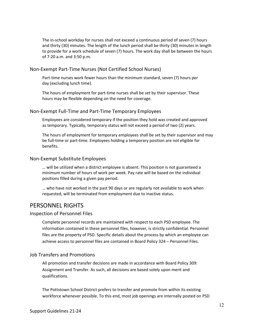The in-school workday for nurses shall not exceed a continuous period of seven (7) hours and thirty (30) minutes. The length of the lunch period shall be thirty (30) minutes in length to provide for a work schedule of seven (7) hours. The work day shall be between the hours of 7:20 a.m. and 3:50 p.m.

## Non-Exempt Part-Time Nurses (Not Certified School Nurses)

Part-time nurses work fewer hours than the minimum standard, seven (7) hours per day (excluding lunch time).

The hours of employment for part-time nurses shall be set by their supervisor. These hours may be flexible depending on the need for coverage.

# Non-Exempt Full-Time and Part-Time Temporary Employees

Employees are considered temporary if the position they hold was created and approved as temporary. Typically, temporary status will not exceed a period of two (2) years.

The hours of employment for temporary employees shall be set by their supervisor and may be full-time or part-time. Employees holding a temporary position are not eligible for benefits.

# Non-Exempt Substitute Employees

… will be utilized when a district employee is absent. This position is not guaranteed a minimum number of hours of work per week. Pay rate will be based on the individual positions filled during a given pay period.

… who have not worked in the past 90 days or are regularly not available to work when requested, will be terminated from employment due to inactive status.

# PERSONNEL RIGHTS

### Inspection of Personnel Files

Complete personnel records are maintained with respect to each PSD employee. The information contained in these personnel files, however, is strictly confidential. Personnel files are the property of PSD. Specific details about the process by which an employee can achieve access to personnel files are contained in Board Policy 324 – Personnel Files.

# Job Transfers and Promotions

All promotion and transfer decisions are made in accordance with Board Policy 309: Assignment and Transfer. As such, all decisions are based solely upon merit and qualifications.

The Pottstown School District prefers to transfer and promote from within its existing workforce whenever possible. To this end, most job openings are internally posted on PSD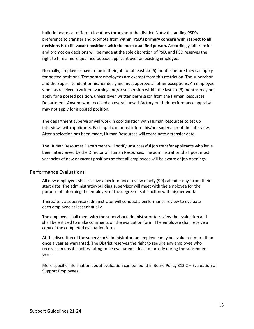bulletin boards at different locations throughout the district. Notwithstanding PSD's preference to transfer and promote from within, **PSD's primary concern with respect to all decisions is to fill vacant positions with the most qualified person.** Accordingly, all transfer and promotion decisions will be made at the sole discretion of PSD, and PSD reserves the right to hire a more qualified outside applicant over an existing employee.

Normally, employees have to be in their job for at least six (6) months before they can apply for posted positions. Temporary employees are exempt from this restriction. The supervisor and the Superintendent or his/her designee must approve all other exceptions. An employee who has received a written warning and/or suspension within the last six (6) months may not apply for a posted position, unless given written permission from the Human Resources Department. Anyone who received an overall unsatisfactory on their performance appraisal may not apply for a posted position.

The department supervisor will work in coordination with Human Resources to set up interviews with applicants. Each applicant must inform his/her supervisor of the interview. After a selection has been made, Human Resources will coordinate a transfer date.

The Human Resources Department will notify unsuccessful job transfer applicants who have been interviewed by the Director of Human Resources. The administration shall post most vacancies of new or vacant positions so that all employees will be aware of job openings.

# Performance Evaluations

All new employees shall receive a performance review ninety (90) calendar days from their start date. The administrator/building supervisor will meet with the employee for the purpose of informing the employee of the degree of satisfaction with his/her work.

Thereafter, a supervisor/administrator will conduct a performance review to evaluate each employee at least annually.

The employee shall meet with the supervisor/administrator to review the evaluation and shall be entitled to make comments on the evaluation form. The employee shall receive a copy of the completed evaluation form.

At the discretion of the supervisor/administrator, an employee may be evaluated more than once a year as warranted. The District reserves the right to require any employee who receives an unsatisfactory rating to be evaluated at least quarterly during the subsequent year.

More specific information about evaluation can be found in Board Policy 313.2 – Evaluation of Support Employees.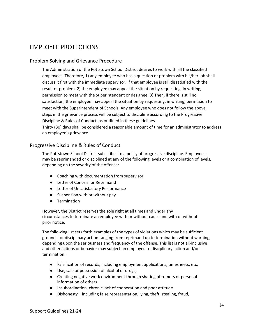# EMPLOYEE PROTECTIONS

# Problem Solving and Grievance Procedure

The Administration of the Pottstown School District desires to work with all the classified employees. Therefore, 1) any employee who has a question or problem with his/her job shall discuss it first with the immediate supervisor. If that employee is still dissatisfied with the result or problem, 2) the employee may appeal the situation by requesting, in writing, permission to meet with the Superintendent or designee. 3) Then, if there is still no satisfaction, the employee may appeal the situation by requesting, in writing, permission to meet with the Superintendent of Schools. Any employee who does not follow the above steps in the grievance process will be subject to discipline according to the Progressive Discipline & Rules of Conduct, as outlined in these guidelines.

Thirty (30) days shall be considered a reasonable amount of time for an administrator to address an employee's grievance.

# Progressive Discipline & Rules of Conduct

The Pottstown School District subscribes to a policy of progressive discipline. Employees may be reprimanded or disciplined at any of the following levels or a combination of levels, depending on the severity of the offense:

- Coaching with documentation from supervisor
- Letter of Concern or Reprimand
- Letter of Unsatisfactory Performance
- Suspension with or without pay
- Termination

However, the District reserves the sole right at all times and under any circumstances to terminate an employee with or without cause and with or without prior notice.

The following list sets forth examples of the types of violations which may be sufficient grounds for disciplinary action ranging from reprimand up to termination without warning, depending upon the seriousness and frequency of the offense. This list is not all-inclusive and other actions or behavior may subject an employee to disciplinary action and/or termination.

- Falsification of records, including employment applications, timesheets, etc.
- Use, sale or possession of alcohol or drugs;
- Creating negative work environment through sharing of rumors or personal information of others.
- Insubordination, chronic lack of cooperation and poor attitude
- Dishonesty including false representation, lying, theft, stealing, fraud,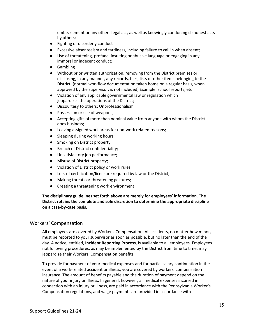embezzlement or any other illegal act, as well as knowingly condoning dishonest acts by others;

- Fighting or disorderly conduct
- Excessive absenteeism and tardiness, including failure to call in when absent;
- Use of threatening, profane, insulting or abusive language or engaging in any immoral or indecent conduct;
- Gambling
- Without prior written authorization, removing from the District premises or disclosing, in any manner, any records, files, lists or other items belonging to the District; (normal workflow documentation taken home on a regular basis, when approved by the supervisor, is not included) Example: school reports, etc
- Violation of any applicable governmental law or regulation which jeopardizes the operations of the District;
- Discourtesy to others; Unprofessionalism
- Possession or use of weapons;
- Accepting gifts of more than nominal value from anyone with whom the District does business;
- Leaving assigned work areas for non-work related reasons;
- Sleeping during working hours;
- Smoking on District property
- Breach of District confidentiality;
- Unsatisfactory job performance;
- Misuse of District property;
- Violation of District policy or work rules;
- Loss of certification/licensure required by law or the District;
- Making threats or threatening gestures;
- Creating a threatening work environment

**The disciplinary guidelines set forth above are merely for employees' information. The District retains the complete and sole discretion to determine the appropriate discipline on a case-by-case basis.**

### Workers' Compensation

All employees are covered by Workers' Compensation. All accidents, no matter how minor, must be reported to your supervisor as soon as possible, but no later than the end of the day. A notice, entitled, **Incident Reporting Process**, is available to all employees. Employees not following procedures, as may be implemented by the District from time to time, may jeopardize their Workers' Compensation benefits.

To provide for payment of your medical expenses and for partial salary continuation in the event of a work-related accident or illness, you are covered by workers' compensation insurance. The amount of benefits payable and the duration of payment depend on the nature of your injury or illness. In general, however, all medical expenses incurred in connection with an injury or illness, are paid in accordance with the Pennsylvania Worker's Compensation regulations, and wage payments are provided in accordance with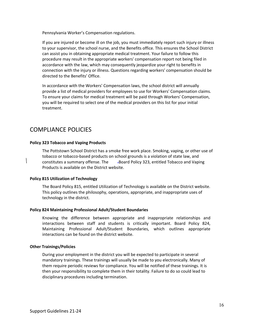Pennsylvania Worker's Compensation regulations.

If you are injured or become ill on the job, you must immediately report such injury or illness to your supervisor, the school nurse, and the Benefits office. This ensures the School District can assist you in obtaining appropriate medical treatment. Your failure to follow this procedure may result in the appropriate workers' compensation report not being filed in accordance with the law, which may consequently jeopardize your right to benefits in connection with the injury or illness. Questions regarding workers' compensation should be directed to the Benefits' Office.

In accordance with the Workers' Compensation laws, the school district will annually provide a list of medical providers for employees to use for Workers' Compensation claims. To ensure your claims for medical treatment will be paid through Workers' Compensation, you will be required to select one of the medical providers on this list for your initial treatment.

# COMPLIANCE POLICIES

### **Policy 323 Tobacco and Vaping Products**

The Pottstown School District has a smoke free work place. Smoking, vaping, or other use of tobacco or tobacco-based products on school grounds is a violation of state law, and constitutes a summary offense. The Aboard Policy 323, entitled Tobacco and Vaping Products is available on the District website.

### **Policy 815 Utilization of Technology**

The Board Policy 815, entitled Utilization of Technology is available on the District website. This policy outlines the philosophy, operations, appropriate, and inappropriate uses of technology in the district.

### **Policy 824 Maintaining Professional Adult/Student Boundaries**

Knowing the difference between appropriate and inappropriate relationships and interactions between staff and students is critically important. Board Policy 824, Maintaining Professional Adult/Student Boundaries, which outlines appropriate interactions can be found on the district website.

# **Other Trainings/Policies**

During your employment in the district you will be expected to participate in several mandatory trainings. These trainings will usually be made to you electronically. Many of them require periodic reviews for compliance. You will be notified of these trainings. It is then your responsibility to complete them in their totality. Failure to do so could lead to disciplinary procedures including termination.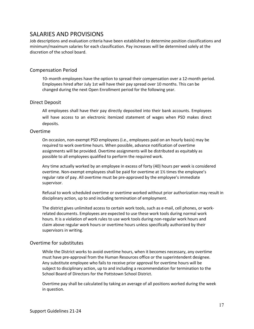# SALARIES AND PROVISIONS

Job descriptions and evaluation criteria have been established to determine position classifications and minimum/maximum salaries for each classification. Pay increases will be determined solely at the discretion of the school board.

# Compensation Period

10-month employees have the option to spread their compensation over a 12-month period. Employees hired after July 1st will have their pay spread over 10 months. This can be changed during the next Open Enrollment period for the following year.

# Direct Deposit

All employees shall have their pay directly deposited into their bank accounts. Employees will have access to an electronic itemized statement of wages when PSD makes direct deposits.

# Overtime

On occasion, non-exempt PSD employees (i.e., employees paid on an hourly basis) may be required to work overtime hours. When possible, advance notification of overtime assignments will be provided. Overtime assignments will be distributed as equitably as possible to all employees qualified to perform the required work.

Any time actually worked by an employee in excess of forty (40) hours per week is considered overtime. Non-exempt employees shall be paid for overtime at 1½ times the employee's regular rate of pay. All overtime must be pre-approved by the employee's immediate supervisor.

Refusal to work scheduled overtime or overtime worked without prior authorization may result in disciplinary action, up to and including termination of employment.

The district gives unlimited access to certain work tools, such as e-mail, cell phones, or workrelated documents. Employees are expected to use these work tools during normal work hours. It is a violation of work rules to use work tools during non-regular work hours and claim above regular work hours or overtime hours unless specifically authorized by their supervisors in writing.

# Overtime for substitutes

While the District works to avoid overtime hours, when it becomes necessary, any overtime must have pre-approval from the Human Resources office or the superintendent designee. Any substitute employee who fails to receive prior approval for overtime hours will be subject to disciplinary action, up to and including a recommendation for termination to the School Board of Directors for the Pottstown School District.

Overtime pay shall be calculated by taking an average of all positions worked during the week in question.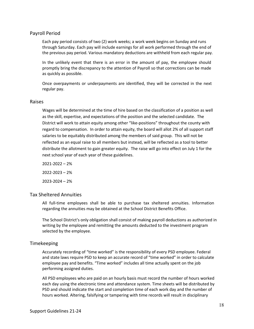# Payroll Period

Each pay period consists of two (2) work weeks; a work week begins on Sunday and runs through Saturday. Each pay will include earnings for all work performed through the end of the previous pay period. Various mandatory deductions are withheld from each regular pay.

In the unlikely event that there is an error in the amount of pay, the employee should promptly bring the discrepancy to the attention of Payroll so that corrections can be made as quickly as possible.

Once overpayments or underpayments are identified, they will be corrected in the next regular pay.

### Raises

Wages will be determined at the time of hire based on the classification of a position as well as the skill, expertise, and expectations of the position and the selected candidate. The District will work to attain equity among other "like-positions" throughout the county with regard to compensation. In order to attain equity, the board will allot 2% of all support staff salaries to be equitably distributed among the members of said group. This will not be reflected as an equal raise to all members but instead, will be reflected as a tool to better distribute the allotment to gain greater equity. The raise will go into effect on July 1 for the next school year of each year of these guidelines.

2021-2022 – 2% 2022-2023 – 2% 2023-2024 – 2%

# Tax Sheltered Annuities

All full-time employees shall be able to purchase tax sheltered annuities. Information regarding the annuities may be obtained at the School District Benefits Office.

The School District's only obligation shall consist of making payroll deductions as authorized in writing by the employee and remitting the amounts deducted to the investment program selected by the employee.

### Timekeeping

Accurately recording of "time worked" is the responsibility of every PSD employee. Federal and state laws require PSD to keep an accurate record of "time worked" in order to calculate employee pay and benefits. "Time worked" includes all time actually spent on the job performing assigned duties.

All PSD employees who are paid on an hourly basis must record the number of hours worked each day using the electronic time and attendance system. Time sheets will be distributed by PSD and should indicate the start and completion time of each work day and the number of hours worked. Altering, falsifying or tampering with time records will result in disciplinary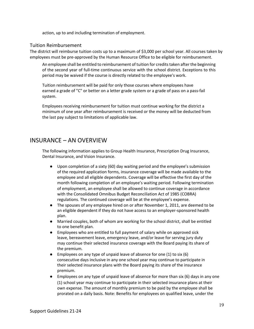action, up to and including termination of employment.

# Tuition Reimbursement

The district will reimburse tuition costs up to a maximum of \$3,000 per school year. All courses taken by employees must be pre-approved by the Human Resource Office to be eligible for reimbursement.

An employee shall be entitled to reimbursement of tuition for credits taken after the beginning of the second year of full-time continuous service with the school district. Exceptions to this period may be waived if the course is directly related to the employee's work.

Tuition reimbursement will be paid for only those courses where employees have earned a grade of "C" or better on a letter grade system or a grade of pass on a pass-fail system.

Employees receiving reimbursement for tuition must continue working for the district a minimum of one year after reimbursement is received or the money will be deducted from the last pay subject to limitations of applicable law.

# INSURANCE – AN OVERVIEW

The following information applies to Group Health Insurance, Prescription Drug Insurance, Dental Insurance, and Vision Insurance.

- Upon completion of a sixty (60) day waiting period and the employee's submission of the required application forms, insurance coverage will be made available to the employee and all eligible dependents. Coverage will be effective the first day of the month following completion of an employee's waiting period. Following termination of employment, an employee shall be allowed to continue coverage in accordance with the Consolidated Omnibus Budget Reconciliation Act of 1985 (COBRA) regulations. The continued coverage will be at the employee's expense.
- The spouses of any employee hired on or after November 1, 2011, are deemed to be an eligible dependent if they do not have access to an employer-sponsored health plan.
- Married couples, both of whom are working for the school district, shall be entitled to one benefit plan.
- Employees who are entitled to full payment of salary while on approved sick leave, bereavement leave, emergency leave, and/or leave for serving jury duty may continue their selected insurance coverage with the Board paying its share of the premium.
- **•** Employees on any type of unpaid leave of absence for one  $(1)$  to six  $(6)$ consecutive days inclusive in any one school year may continue to participate in their selected insurance plans with the Board paying its share of the insurance premium.
- Employees on any type of unpaid leave of absence for more than six (6) days in any one (1) school year may continue to participate in their selected insurance plans at their own expense. The amount of monthly premium to be paid by the employee shall be prorated on a daily basis. Note: Benefits for employees on qualified leave, under the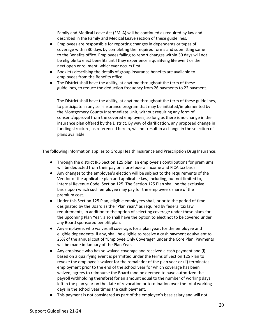Family and Medical Leave Act (FMLA) will be continued as required by law and described in the Family and Medical Leave section of these guidelines.

- Employees are responsible for reporting changes in dependents or types of coverage within 30 days by completing the required forms and submitting same to the Benefits office. Employees failing to report changes within 30 days will not be eligible to elect benefits until they experience a qualifying life event or the next open enrollment, whichever occurs first.
- Booklets describing the details of group insurance benefits are available to employees from the Benefits office.
- The District shall have the ability, at anytime throughout the term of these guidelines, to reduce the deduction frequency from 26 payments to 22 payment.

The District shall have the ability, at anytime throughout the term of these guidelines, to participate in any self-insurance program that may be initiated/implemented by the Montgomery County Intermediate Unit, without requiring any form of consent/approval from the covered employees, so long as there is no change in the insurance plan offered by the District. By way of clarification, any proposed change in funding structure, as referenced herein, will not result in a change in the selection of plans available

The following information applies to Group Health Insurance and Prescription Drug Insurance:

- Through the district IRS Section 125 plan, an employee's contributions for premiums will be deducted from their pay on a pre-federal income and FICA tax basis.
- Any changes to the employee's election will be subject to the requirements of the Vendor of the applicable plan and applicable law, including, but not limited to, Internal Revenue Code, Section 125. The Section 125 Plan shall be the exclusive basis upon which such employee may pay for the employee's share of the premium cost.
- Under this Section 125 Plan, eligible employees shall, prior to the period of time designated by the Board as the "Plan Year," as required by federal tax law requirements, in addition to the option of selecting coverage under these plans for the upcoming Plan Year, also shall have the option to elect not to be covered under any Board sponsored benefit plan.
- Any employee, who waives all coverage, for a plan year, for the employee and eligible dependents, if any, shall be eligible to receive a cash payment equivalent to 25% of the annual cost of "Employee Only Coverage" under the Core Plan. Payments will be made in January of the Plan Year.
- Any employee who has so waived coverage and received a cash payment and (i) based on a qualifying event is permitted under the terms of Section 125 Plan to revoke the employee's waiver for the remainder of the plan year or (ii) terminates employment prior to the end of the school year for which coverage has been waived, agrees to reimburse the Board (and be deemed to have authorized the payroll withholding therefore) for an amount equal to the number of working days left in the plan year on the date of revocation or termination over the total working days in the school year times the cash payment.
- This payment is not considered as part of the employee's base salary and will not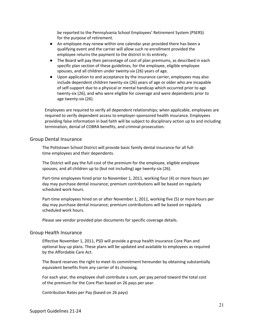be reported to the Pennsylvania School Employees' Retirement System (PSERS) for the purpose of retirement.

- An employee may renew within one calendar year provided there has been a qualifying event and the carrier will allow such re-enrollment provided the employee returns the payment to the district in its entirety.
- The Board will pay their percentage of cost of plan premiums, as described in each specific plan section of these guidelines, for the employee, eligible employee spouses, and all children under twenty-six (26) years of age.
- Upon application to and acceptance by the insurance carrier, employees may also include dependent children twenty-six (26) years of age or older who are incapable of self-support due to a physical or mental handicap which occurred prior to age twenty-six (26), and who were eligible for coverage and were dependents prior to age twenty-six (26).

Employees are required to verify all dependent relationships; when applicable, employees are required to verify dependent access to employer-sponsored health insurance. Employees providing false information in bad faith will be subject to disciplinary action up to and including termination, denial of COBRA benefits, and criminal prosecution.

#### Group Dental Insurance

The Pottstown School District will provide basic family dental insurance for all fulltime employees and their dependents.

The District will pay the full cost of the premium for the employee, eligible employee spouses, and all children up to (but not including) age twenty-six (26).

Part-time employees hired prior to November 1, 2011, working four (4) or more hours per day may purchase dental insurance; premium contributions will be based on regularly scheduled work hours.

Part-time employees hired on or after November 1, 2011, working five (5) or more hours per day may purchase dental insurance; premium contributions will be based on regularly scheduled work hours.

Please see vendor provided plan documents for specific coverage details.

#### Group Health Insurance

Effective November 1, 2011, PSD will provide a group health insurance Core Plan and optional buy-up plans. These plans will be updated and available to employees as required by the Affordable Care Act.

The Board reserves the right to meet its commitment hereunder by obtaining substantially equivalent benefits from any carrier of its choosing.

For each year, the employee shall contribute a sum, per pay period toward the total cost of the premium for the Core Plan based on 26 pays per year.

Contribution Rates per Pay (based on 26 pays)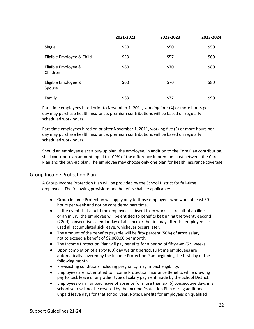|                                 | 2021-2022 | 2022-2023 | 2023-2024 |
|---------------------------------|-----------|-----------|-----------|
| Single                          | \$50      | \$50      | \$50      |
| Eligible Employee & Child       | \$53      | \$57      | \$60      |
| Eligible Employee &<br>Children | \$60      | \$70      | \$80      |
| Eligible Employee &<br>Spouse   | \$60      | \$70      | \$80      |
| Family                          | \$63      | \$77      | \$90      |

Part-time employees hired prior to November 1, 2011, working four (4) or more hours per day may purchase health insurance; premium contributions will be based on regularly scheduled work hours.

Part-time employees hired on or after November 1, 2011, working five (5) or more hours per day may purchase health insurance; premium contributions will be based on regularly scheduled work hours.

Should an employee elect a buy-up plan, the employee, in addition to the Core Plan contribution, shall contribute an amount equal to 100% of the difference in premium cost between the Core Plan and the buy-up plan. The employee may choose only one plan for health insurance coverage.

# Group Income Protection Plan

A Group Income Protection Plan will be provided by the School District for full-time employees. The following provisions and benefits shall be applicable:

- Group Income Protection will apply only to those employees who work at least 30 hours per week and not be considered part time.
- In the event that a full-time employee is absent from work as a result of an illness or an injury, the employee will be entitled to benefits beginning the twenty-second (22nd) consecutive calendar day of absence or the first day after the employee has used all accumulated sick leave, whichever occurs later.
- The amount of the benefits payable will be fifty percent (50%) of gross salary, not to exceed a benefit of \$2,000.00 per month.
- The Income Protection Plan will pay benefits for a period of fifty-two (52) weeks.
- Upon completion of a sixty (60) day waiting period, full-time employees are automatically covered by the Income Protection Plan beginning the first day of the following month.
- Pre-existing conditions including pregnancy may impact eligibility.
- Employees are not entitled to Income Protection Insurance Benefits while drawing pay for sick leave or any other type of salary payment made by the School District.
- **•** Employees on an unpaid leave of absence for more than six (6) consecutive days in a school year will not be covered by the Income Protection Plan during additional unpaid leave days for that school year. Note: Benefits for employees on qualified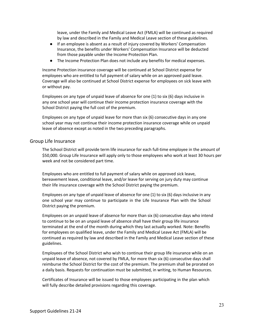leave, under the Family and Medical Leave Act (FMLA) will be continued as required by law and described in the Family and Medical Leave section of these guidelines.

- If an employee is absent as a result of injury covered by Workers' Compensation Insurance, the benefits under Workers' Compensation Insurance will be deducted from those payable under the Income Protection Plan.
- The Income Protection Plan does not include any benefits for medical expenses.

Income Protection insurance coverage will be continued at School District expense for employees who are entitled to full payment of salary while on an approved paid leave. Coverage will also be continued at School District expense for employees on sick leave with or without pay.

Employees on any type of unpaid leave of absence for one (1) to six (6) days inclusive in any one school year will continue their income protection insurance coverage with the School District paying the full cost of the premium.

Employees on any type of unpaid leave for more than six (6) consecutive days in any one school year may not continue their income protection insurance coverage while on unpaid leave of absence except as noted in the two preceding paragraphs.

### Group Life Insurance

The School District will provide term life insurance for each full-time employee in the amount of \$50,000. Group Life Insurance will apply only to those employees who work at least 30 hours per week and not be considered part time.

Employees who are entitled to full payment of salary while on approved sick leave, bereavement leave, conditional leave, and/or leave for serving on jury duty may continue their life insurance coverage with the School District paying the premium.

Employees on any type of unpaid leave of absence for one (1) to six (6) days inclusive in any one school year may continue to participate in the Life Insurance Plan with the School District paying the premium.

Employees on an unpaid leave of absence for more than six (6) consecutive days who intend to continue to be on an unpaid leave of absence shall have their group life insurance terminated at the end of the month during which they last actually worked. Note: Benefits for employees on qualified leave, under the Family and Medical Leave Act (FMLA) will be continued as required by law and described in the Family and Medical Leave section of these guidelines.

Employees of the School District who wish to continue their group life insurance while on an unpaid leave of absence, not covered by FMLA, for more than six (6) consecutive days shall reimburse the School District for the cost of the premium. The premium shall be prorated on a daily basis. Requests for continuation must be submitted, in writing, to Human Resources.

Certificates of Insurance will be issued to those employees participating in the plan which will fully describe detailed provisions regarding this coverage.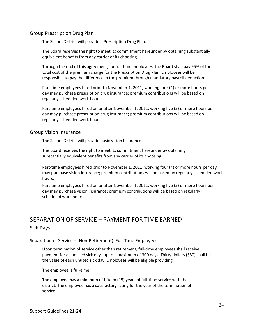## Group Prescription Drug Plan

The School District will provide a Prescription Drug Plan.

The Board reserves the right to meet its commitment hereunder by obtaining substantially equivalent benefits from any carrier of its choosing.

Through the end of this agreement, for full-time employees, the Board shall pay 95% of the total cost of the premium charge for the Prescription Drug Plan. Employees will be responsible to pay the difference in the premium through mandatory payroll deduction.

Part-time employees hired prior to November 1, 2011, working four (4) or more hours per day may purchase prescription drug insurance; premium contributions will be based on regularly scheduled work hours.

Part-time employees hired on or after November 1, 2011, working five (5) or more hours per day may purchase prescription drug insurance; premium contributions will be based on regularly scheduled work hours.

### Group Vision Insurance

The School District will provide basic Vision Insurance.

The Board reserves the right to meet its commitment hereunder by obtaining substantially equivalent benefits from any carrier of its choosing.

Part-time employees hired prior to November 1, 2011, working four (4) or more hours per day may purchase vision insurance; premium contributions will be based on regularly scheduled work hours.

Part-time employees hired on or after November 1, 2011, working five (5) or more hours per day may purchase vision insurance; premium contributions will be based on regularly scheduled work hours.

# SEPARATION OF SERVICE – PAYMENT FOR TIME EARNED Sick Days

### Separation of Service – (Non-Retirement) Full-Time Employees

Upon termination of service other than retirement, full-time employees shall receive payment for all unused sick days up to a maximum of 300 days. Thirty dollars (\$30) shall be the value of each unused sick day. Employees will be eligible providing:

The employee is full-time.

The employee has a minimum of fifteen (15) years of full-time service with the district. The employee has a satisfactory rating for the year of the termination of service.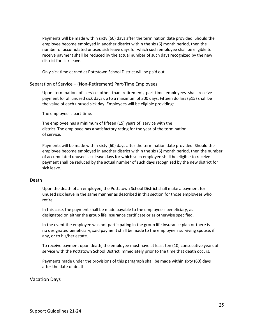Payments will be made within sixty (60) days after the termination date provided. Should the employee become employed in another district within the six (6) month period, then the number of accumulated unused sick leave days for which such employee shall be eligible to receive payment shall be reduced by the actual number of such days recognized by the new district for sick leave.

Only sick time earned at Pottstown School District will be paid out.

Separation of Service – (Non-Retirement) Part-Time Employees

Upon termination of service other than retirement, part-time employees shall receive payment for all unused sick days up to a maximum of 300 days. Fifteen dollars (\$15) shall be the value of each unused sick day. Employees will be eligible providing:

The employee is part-time.

The employee has a minimum of fifteen (15) years of `service with the district. The employee has a satisfactory rating for the year of the termination of service.

Payments will be made within sixty (60) days after the termination date provided. Should the employee become employed in another district within the six (6) month period, then the number of accumulated unused sick leave days for which such employee shall be eligible to receive payment shall be reduced by the actual number of such days recognized by the new district for sick leave.

### Death

Upon the death of an employee, the Pottstown School District shall make a payment for unused sick leave in the same manner as described in this section for those employees who retire.

In this case, the payment shall be made payable to the employee's beneficiary, as designated on either the group life insurance certificate or as otherwise specified.

In the event the employee was not participating in the group life insurance plan or there is no designated beneficiary, said payment shall be made to the employee's surviving spouse, if any, or to his/her estate.

To receive payment upon death, the employee must have at least ten (10) consecutive years of service with the Pottstown School District immediately prior to the time that death occurs.

Payments made under the provisions of this paragraph shall be made within sixty (60) days after the date of death.

# Vacation Days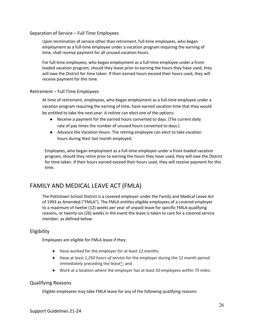## Separation of Service – Full Time Employees

Upon termination of service other than retirement, full-time employees, who began employment as a full-time employee under a vacation program requiring the earning of time, shall receive payment for all unused vacation hours.

For full-time employees, who began employment as a full-time employee under a frontloaded vacation program, should they leave prior to earning the hours they have used, they will owe the District for time taken. If their earned hours exceed their hours used, they will receive payment for this time.

# Retirement – Full Time Employees

At time of retirement, employees, who began employment as a full-time employee under a vacation program requiring the earning of time, have earned vacation time that they would be entitled to take the next year. A retiree can elect one of the options:

- Receive a payment for the earned hours converted to days. (The current daily rate of pay times the number of unused hours converted to days.)
- Advance the Vacation Hours- The retiring employee can elect to take vacation hours during their last month employed.

Employees, who began employment as a full-time employee under a front-loaded vacation program, should they retire prior to earning the hours they have used, they will owe the District for time taken. If their hours earned exceed their hours used, they will receive payment for this time.

# FAMILY AND MEDICAL LEAVE ACT (FMLA)

The Pottstown School District is a covered employer under the Family and Medical Leave Act of 1993 as Amended ("FMLA"). The FMLA entitles eligible employees of a covered employer to a maximum of twelve (12) weeks per year of unpaid leave for specific FMLA-qualifying reasons, or twenty-six (26) weeks in the event the leave is taken to care for a covered service member, as defined below.

# Eligibility

Employees are eligible for FMLA leave if they:

- Have worked for the employer for at least *12 months*;
- Have at least *1,250 hours of service* for the employer during the 12 month period immediately preceding the leave $*$ ; and
- Work at a location where the employer has at least *50 employees within 75 miles*.

# Qualifying Reasons

Eligible employees may take FMLA leave for any of the following qualifying reasons: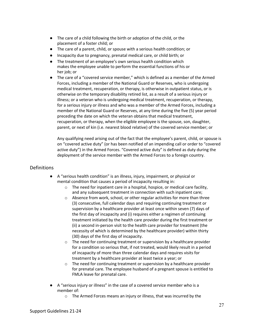- The care of a child following the birth or adoption of the child, or the placement of a foster child; or
- The care of a parent, child, or spouse with a serious health condition; or
- Incapacity due to pregnancy, prenatal medical care, or child birth; or
- The treatment of an employee's own serious health condition which makes the employee unable to perform the essential functions of his or her job; or
- The care of a "covered service member," which is defined as a member of the Armed Forces, including a member of the National Guard or Reserves, who is undergoing medical treatment, recuperation, or therapy, is otherwise in outpatient status, or is otherwise on the temporary disability retired list, as a result of a serious injury or illness; or a veteran who is undergoing medical treatment, recuperation, or therapy, for a serious injury or illness and who was a member of the Armed Forces, including a member of the National Guard or Reserves, at any time during the five (5) year period preceding the date on which the veteran obtains that medical treatment, recuperation, or therapy, when the eligible employee is the spouse, son, daughter, parent, or next of kin (i.e. nearest blood relative) of the covered service member; or

Any qualifying need arising out of the fact that the employee's parent, child, or spouse is on "covered active duty" (or has been notified of an impending call or order to "covered active duty") in the Armed Forces. "Covered active duty" is defined as duty during the deployment of the service member with the Armed Forces to a foreign country.

# Definitions

- A "serious health condition" is an illness, injury, impairment, or physical or mental condition that causes a period of incapacity resulting in:
	- o The need for inpatient care in a hospital, hospice, or medical care facility, and any subsequent treatment in connection with such inpatient care;
	- $\circ$  Absence from work, school, or other regular activities for more than three (3) consecutive, full calendar days and requiring continuing treatment or supervision by a healthcare provider at least once within seven (7) days of the first day of incapacity and (i) requires either a regimen of continuing treatment initiated by the health care provider during the first treatment or (ii) a second in-person visit to the health care provider for treatment (the necessity of which is determined by the healthcare provider) within thirty (30) days of the first day of incapacity.
	- o The need for continuing treatment or supervision by a healthcare provider for a condition so serious that, if not treated, would likely result in a period of incapacity of more than three calendar days and requires visits for treatment by a healthcare provider at least twice a year; or
	- $\circ$  The need for continuing treatment or supervision by a healthcare provider for prenatal care. The employee husband of a pregnant spouse is entitled to FMLA leave for prenatal care.
- A "serious injury or illness" in the case of a covered service member who is a member of:
	- o The Armed Forces means an injury or illness, that was incurred by the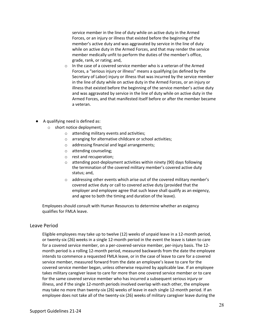service member in the line of duty while on active duty in the Armed Forces, or an injury or illness that existed before the beginning of the member's active duty and was aggravated by service in the line of duty while on active duty in the Armed Forces, and that may render the service member medically unfit to perform the duties of the member's office, grade, rank, or rating; and,

- o In the case of a covered service member who is a veteran of the Armed Forces, a "serious injury or illness" means a qualifying (as defined by the Secretary of Labor) injury or illness that was incurred by the service member in the line of duty while on active duty in the Armed Forces, or an injury or illness that existed before the beginning of the service member's active duty and was aggravated by service in the line of duty while on active duty in the Armed Forces, and that manifested itself before or after the member became a veteran.
- A qualifying need is defined as:
	- o short notice deployment;
		- o attending military events and activities;
		- o arranging for alternative childcare or school activities;
		- o addressing financial and legal arrangements;
		- o attending counseling;
		- o rest and recuperation;
		- o attending post-deployment activities within ninety (90) days following the termination of the covered military member's covered active duty status; and,
		- $\circ$  addressing other events which arise out of the covered military member's covered active duty or call to covered active duty (provided that the employer and employee agree that such leave shall qualify as an exigency, and agree to both the timing and duration of the leave).

Employees should consult with Human Resources to determine whether an exigency qualifies for FMLA leave.

# Leave Period

Eligible employees may take up to twelve (12) weeks of unpaid leave in a 12-month period, or twenty-six (26) weeks in a single 12-month period in the event the leave is taken to care for a covered service member, on a per-covered-service member, per-injury basis. The 12 month period is a rolling 12-month period, measured backwards from the date the employee intends to commence a requested FMLA leave, or in the case of leave to care for a covered service member, measured forward from the date an employee's leave to care for the covered service member began, unless otherwise required by applicable law. If an employee takes military caregiver leave to care for more than one covered service member or to care for the same covered service member who has incurred a subsequent serious injury or illness, and if the single 12-month periods involved overlap with each other, the employee may take no more than twenty-six (26) weeks of leave in each single 12-month period. If an employee does not take all of the twenty-six (26) weeks of military caregiver leave during the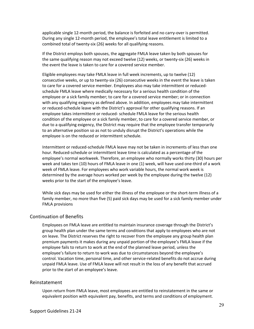applicable single 12-month period, the balance is forfeited and no carry-over is permitted. During any single 12-month period, the employee's total leave entitlement is limited to a combined total of twenty-six (26) weeks for all qualifying reasons.

If the District employs both spouses, the aggregate FMLA leave taken by both spouses for the same qualifying reason may not exceed twelve (12) weeks, or twenty-six (26) weeks in the event the leave is taken to care for a covered service member.

Eligible employees may take FMLA leave in full week increments, up to twelve (12) consecutive weeks, or up to twenty-six (26) consecutive weeks in the event the leave is taken to care for a covered service member. Employees also may take intermittent or reducedschedule FMLA leave where medically necessary for a serious health condition of the employee or a sick family member; to care for a covered service member; or in connection with any qualifying exigency as defined above. In addition, employees may take intermittent or reduced-schedule leave with the District's approval for other qualifying reasons. If an employee takes intermittent or reduced- schedule FMLA leave for the serious health condition of the employee or a sick family member, to care for a covered service member, or due to a qualifying exigency, the District may require that the employee transfer temporarily to an alternative position so as not to unduly disrupt the District's operations while the employee is on the reduced or intermittent schedule.

Intermittent or reduced-schedule FMLA leave may not be taken in increments of less than one hour. Reduced-schedule or intermittent leave time is calculated as a percentage of the employee's normal workweek. Therefore, an employee who normally works thirty (30) hours per week and takes ten (10) hours of FMLA leave in one (1) week, will have used one-third of a work week of FMLA leave. For employees who work variable hours, the normal work week is determined by the average hours worked per week by the employee during the twelve (12) weeks prior to the start of the employee's leave.

While sick days may be used for either the illness of the employee or the short-term illness of a family member, no more than five (5) paid sick days may be used for a sick family member under FMLA provisions

### Continuation of Benefits

Employees on FMLA leave are entitled to maintain insurance coverage through the District's group health plan under the same terms and conditions that apply to employees who are not on leave. The District reserves the right to recover from the employee any group health plan premium payments it makes during any unpaid portion of the employee's FMLA leave if the employee fails to return to work at the end of the planned leave period, unless the employee's failure to return to work was due to circumstances beyond the employee's control. Vacation time, personal time, and other service-related benefits do not accrue during unpaid FMLA leave. Use of FMLA leave will not result in the loss of any benefit that accrued prior to the start of an employee's leave.

#### Reinstatement

Upon return from FMLA leave, most employees are entitled to reinstatement in the same or equivalent position with equivalent pay, benefits, and terms and conditions of employment.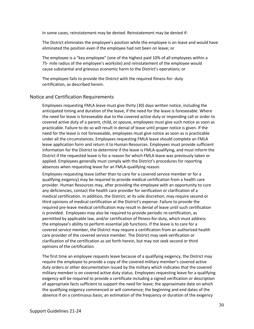In some cases, reinstatement may be denied. Reinstatement may be denied if:

The District eliminates the employee's position while the employee is on leave and would have eliminated the position even if the employee had not been on leave; or

The employee is a "key employee" (one of the highest paid 10% of all employees within a 75- mile radius of the employee's worksite) and reinstatement of the employee would cause substantial and grievous economic harm to the District's operations; or

The employee fails to provide the District with the required fitness-for- duty certification, as described herein.

### Notice and Certification Requirements

Employees requesting FMLA leave must give thirty (30) days written notice, including the anticipated timing and duration of the leave, if the need for the leave is foreseeable. Where the need for leave is foreseeable due to the covered active duty or impending call or order to covered active duty of a parent, child, or spouse, employees must give such notice as soon as practicable. Failure to do so will result in denial of leave until proper notice is given. If the need for the leave is not foreseeable, employees must give notice as soon as is practicable under all the circumstances. Employees requesting FMLA leave should complete an FMLA leave application form and return it to Human Resources. Employees must provide sufficient information for the District to determine if the leave is FMLA-qualifying, and must inform the District if the requested leave is for a reason for which FMLA leave was previously taken or applied. Employees generally must comply with the District's procedures for reporting absences when requesting leave for an FMLA-qualifying reason.

Employees requesting leave (other than to care for a covered service member or for a qualifying exigency) may be required to provide medical certification from a health care provider. Human Resources may, after providing the employee with an opportunity to cure any deficiencies, contact the health care provider for verification or clarification of a medical certification. In addition, the District, at its sole discretion, may require second or third opinions of medical certification at the District's expense. Failure to provide the required pre-leave medical certification may result in denial of leave until such certification is provided. Employees may also be required to provide periodic re-certification, as permitted by applicable law, and/or certification of fitness-for-duty, which must address the employee's ability to perform essential job functions. If the leave is to care for a covered service member, the District may require a certification from an authorized health care provider of the covered service member. The District may seek verification or clarification of the certification as set forth herein, but may not seek second or third opinions of the certification.

The first time an employee requests leave because of a qualifying exigency, the District may require the employee to provide a copy of the covered military member's covered active duty orders or other documentation issued by the military which indicates that the covered military member is on covered active duty status. Employees requesting leave for a qualifying exigency will be required to provide a certificate including a signed verification or description of appropriate facts sufficient to support the need for leave; the approximate date on which the qualifying exigency commenced or will commence; the beginning and end dates of the absence if on a continuous basis; an estimation of the frequency or duration of the exigency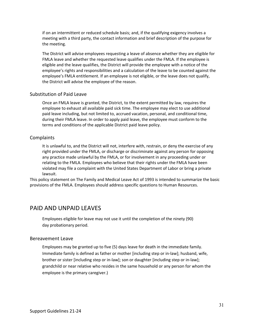if on an intermittent or reduced schedule basis; and, if the qualifying exigency involves a meeting with a third party, the contact information and brief description of the purpose for the meeting.

The District will advise employees requesting a leave of absence whether they are eligible for FMLA leave and whether the requested leave qualifies under the FMLA. If the employee is eligible and the leave qualifies, the District will provide the employee with a notice of the employee's rights and responsibilities and a calculation of the leave to be counted against the employee's FMLA entitlement. If an employee is not eligible, or the leave does not qualify, the District will advise the employee of the reason.

# Substitution of Paid Leave

Once an FMLA leave is granted, the District, to the extent permitted by law, requires the employee to exhaust all available paid sick time. The employee may elect to use additional paid leave including, but not limited to, accrued vacation, personal, and conditional time, during their FMLA leave. In order to apply paid leave, the employee must conform to the terms and conditions of the applicable District paid leave policy.

# **Complaints**

It is unlawful to, and the District will not, interfere with, restrain, or deny the exercise of any right provided under the FMLA, or discharge or discriminate against any person for opposing any practice made unlawful by the FMLA, or for involvement in any proceeding under or relating to the FMLA. Employees who believe that their rights under the FMLA have been violated may file a complaint with the United States Department of Labor or bring a private lawsuit.

This policy statement on The Family and Medical Leave Act of 1993 is intended to summarize the basic provisions of the FMLA. Employees should address specific questions to Human Resources.

# PAID AND UNPAID LEAVES

Employees eligible for leave may not use it until the completion of the ninety (90) day probationary period.

# Bereavement Leave

Employees may be granted up to five (5) days leave for death in the immediate family. Immediate family is defined as father or mother [including step or in-law]; husband, wife, brother or sister [including step or in-law]; son or daughter [including step or in-law]; grandchild or near relative who resides in the same household or any person for whom the employee is the primary caregiver.)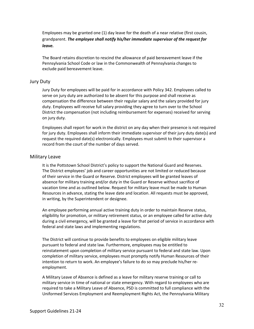Employees may be granted one (1) day leave for the death of a near relative (first cousin, grandparent. *The employee shall notify his/her immediate supervisor of the request for leave.*

The Board retains discretion to rescind the allowance of paid bereavement leave if the Pennsylvania School Code or law in the Commonwealth of Pennsylvania changes to exclude paid bereavement leave.

#### Jury Duty

Jury Duty for employees will be paid for in accordance with Policy 342. Employees called to serve on jury duty are authorized to be absent for this purpose and shall receive as compensation the difference between their regular salary and the salary provided for jury duty. Employees will receive full salary providing they agree to turn over to the School District the compensation (not including reimbursement for expenses) received for serving on jury duty.

Employees shall report for work in the district on any day when their presence is not required for jury duty. Employees shall inform their immediate supervisor of their jury duty date(s) and request the required date(s) electronically. Employees must submit to their supervisor a record from the court of the number of days served.

#### Military Leave

It is the Pottstown School District's policy to support the National Guard and Reserves. The District employees' job and career opportunities are not limited or reduced because of their service in the Guard or Reserve. District employees will be granted leaves of absence for military training and/or duty in the Guard or Reserve without sacrifice of vacation time and as outlined below. Request for military leave must be made to Human Resources in advance, stating the leave date and location. All requests must be approved, in writing, by the Superintendent or designee.

An employee performing annual active training duty in order to maintain Reserve status, eligibility for promotion, or military retirement status, or an employee called for active duty during a civil emergency, will be granted a leave for that period of service in accordance with federal and state laws and implementing regulations.

The District will continue to provide benefits to employees on eligible military leave pursuant to federal and state law. Furthermore, employees may be entitled to reinstatement upon completion of military service pursuant to federal and state law. Upon completion of military service, employees must promptly notify Human Resources of their intention to return to work. An employee's failure to do so may preclude his/her reemployment.

A Military Leave of Absence is defined as a leave for military reserve training or call to military service in time of national or state emergency. With regard to employees who are required to take a Military Leave of Absence, PSD is committed to full compliance with the Uniformed Services Employment and Reemployment Rights Act, the Pennsylvania Military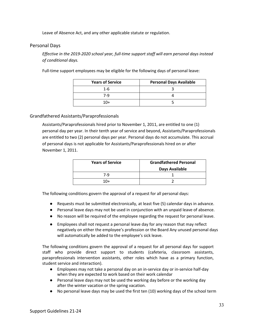Leave of Absence Act, and any other applicable statute or regulation.

# Personal Days

*Effective in the 2019-2020 school year, full-time support staff will earn personal days instead of conditional days.*

Full-time support employees may be eligible for the following days of personal leave:

| <b>Years of Service</b> | <b>Personal Days Available</b> |
|-------------------------|--------------------------------|
| $1 - 6$                 |                                |
| 7-9                     |                                |
| $10+$                   |                                |

### Grandfathered Assistants/Paraprofessionals

Assistants/Paraprofessionals hired prior to November 1, 2011, are entitled to one (1) personal day per year. In their tenth year of service and beyond, Assistants/Paraprofessionals are entitled to two (2) personal days per year. Personal days do not accumulate. This accrual of personal days is not applicable for Assistants/Paraprofessionals hired on or after November 1, 2011.

| <b>Years of Service</b> | <b>Grandfathered Personal</b> |
|-------------------------|-------------------------------|
|                         | Days Available                |
| 7-9                     |                               |
| $10+$                   |                               |

The following conditions govern the approval of a request for all personal days:

- Requests must be submitted electronically, at least five (5) calendar days in advance.
- Personal leave days may not be used in conjunction with an unpaid leave of absence.
- No reason will be required of the employee regarding the request for personal leave.
- Employees shall not request a personal leave day for any reason that may reflect negatively on either the employee's profession or the Board Any unused personal days will automatically be added to the employee's sick leave.

The following conditions govern the approval of a request for all personal days for support staff who provide direct support to students (cafeteria, classroom assistants, paraprofessionals intervention assistants, other roles which have as a primary function, student service and interaction).

- Employees may not take a personal day on an in-service day or in-service half-day when they are expected to work based on their work calendar
- Personal leave days may not be used the working day before or the working day after the winter vacation or the spring vacation.
- No personal leave days may be used the first ten (10) working days of the school term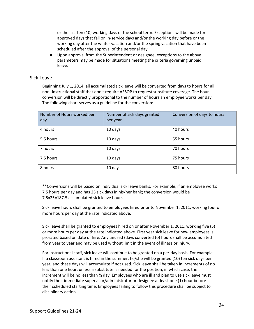or the last ten (10) working days of the school term. Exceptions will be made for approved days that fall on in-service days and/or the working day before or the working day after the winter vacation and/or the spring vacation that have been scheduled after the approval of the personal day.

● Upon approval from the Superintendent or designee, exceptions to the above parameters may be made for situations meeting the criteria governing unpaid leave.

## Sick Leave

Beginning July 1, 2014, all accumulated sick leave will be converted from days to hours for all non- instructional staff that don't require AESOP to request substitute coverage. The hour conversion will be directly proportional to the number of hours an employee works per day. The following chart serves as a guideline for the conversion:

| Number of Hours worked per<br>day | Number of sick days granted<br>per year | Conversion of days to hours |
|-----------------------------------|-----------------------------------------|-----------------------------|
| 4 hours                           | 10 days                                 | 40 hours                    |
| 5.5 hours                         | 10 days                                 | 55 hours                    |
| 7 hours                           | 10 days                                 | 70 hours                    |
| 7.5 hours                         | 10 days                                 | 75 hours                    |
| 8 hours                           | 10 days                                 | 80 hours                    |

\*\*Conversions will be based on individual sick leave banks. For example, if an employee works 7.5 hours per day and has 25 sick days in his/her bank; the conversion would be 7.5x25=187.5 accumulated sick leave hours.

Sick leave hours shall be granted to employees hired prior to November 1, 2011, working four or more hours per day at the rate indicated above.

Sick leave shall be granted to employees hired on or after November 1, 2011, working five (5) or more hours per day at the rate indicated above. First year sick leave for new employees is prorated based on date of hire. Any unused (days converted to) hours shall be accumulated from year to year and may be used without limit in the event of illness or injury.

For instructional staff, sick leave will continue to be granted on a per-day basis. For example. If a classroom assistant is hired in the summer, he/she will be granted (10) ten sick days per year, and these days will accumulate if not used. Sick leave shall be taken in increments of no less than one hour, unless a substitute is needed for the position, in which case, the increment will be no less than ½ day. Employees who are ill and plan to use sick leave must notify their immediate supervisor/administrator or designee at least one (1) hour before their scheduled starting time. Employees failing to follow this procedure shall be subject to disciplinary action.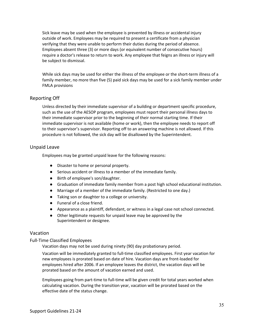Sick leave may be used when the employee is prevented by illness or accidental injury outside of work. Employees may be required to present a certificate from a physician verifying that they were unable to perform their duties during the period of absence. Employees absent three (3) or more days (or equivalent number of consecutive hours) require a doctor's release to return to work. Any employee that feigns an illness or injury will be subject to dismissal.

While sick days may be used for either the illness of the employee or the short-term illness of a family member, no more than five (5) paid sick days may be used for a sick family member under FMLA provisions

# Reporting Off

Unless directed by their immediate supervisor of a building or department specific procedure, such as the use of the AESOP program, employees must report their personal illness days to their immediate supervisor prior to the beginning of their normal starting time. If their immediate supervisor is not available (home or work), then the employee needs to report off to their supervisor's supervisor. Reporting off to an answering machine is not allowed. If this procedure is not followed, the sick day will be disallowed by the Superintendent.

# Unpaid Leave

Employees may be granted unpaid leave for the following reasons:

- Disaster to home or personal property.
- Serious accident or illness to a member of the immediate family.
- Birth of employee's son/daughter.
- Graduation of immediate family member from a post high school educational institution.
- Marriage of a member of the immediate family. (Restricted to one day.)
- Taking son or daughter to a college or university.
- Funeral of a close friend.
- Appearance as a plaintiff, defendant, or witness in a legal case not school connected.
- Other legitimate requests for unpaid leave may be approved by the Superintendent or designee.

# Vacation

### Full-Time Classified Employees

Vacation days may not be used during ninety (90) day probationary period.

Vacation will be immediately granted to full-time classified employees. First year vacation for new employees is prorated based on date of hire. Vacation days are front-loaded for employees hired after 2006. If an employee leaves the district, the vacation days will be prorated based on the amount of vacation earned and used.

Employees going from part-time to full-time will be given credit for total years worked when calculating vacation. During the transition year, vacation will be prorated based on the effective date of the status change.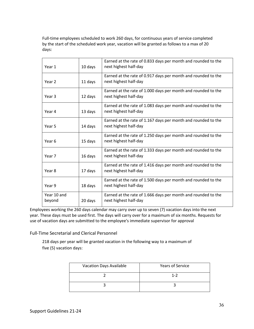Full-time employees scheduled to work 260 days, for continuous years of service completed by the start of the scheduled work year, vacation will be granted as follows to a max of 20 days:

| Year 1                | 10 days | Earned at the rate of 0.833 days per month and rounded to the<br>next highest half-day |
|-----------------------|---------|----------------------------------------------------------------------------------------|
| Year 2                | 11 days | Earned at the rate of 0.917 days per month and rounded to the<br>next highest half-day |
| Year 3                | 12 days | Earned at the rate of 1.000 days per month and rounded to the<br>next highest half-day |
| Year 4                | 13 days | Earned at the rate of 1.083 days per month and rounded to the<br>next highest half-day |
| Year 5                | 14 days | Earned at the rate of 1.167 days per month and rounded to the<br>next highest half-day |
| Year 6                | 15 days | Earned at the rate of 1.250 days per month and rounded to the<br>next highest half-day |
| Year 7                | 16 days | Earned at the rate of 1.333 days per month and rounded to the<br>next highest half-day |
| Year 8                | 17 days | Earned at the rate of 1.416 days per month and rounded to the<br>next highest half-day |
| Year 9                | 18 days | Earned at the rate of 1.500 days per month and rounded to the<br>next highest half-day |
| Year 10 and<br>beyond | 20 days | Earned at the rate of 1.666 days per month and rounded to the<br>next highest half-day |

Employees working the 260 days calendar may carry over up to seven (7) vacation days into the next year. These days must be used first. The days will carry over for a maximum of six months. Requests for use of vacation days are submitted to the employee's immediate supervisor for approval

Full-Time Secretarial and Clerical Personnel

218 days per year will be granted vacation in the following way to a maximum of five (5) vacation days:

| <b>Vacation Days Available</b> | <b>Years of Service</b> |
|--------------------------------|-------------------------|
|                                | $1 - 2$                 |
|                                |                         |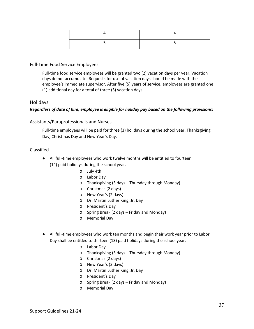# Full-Time Food Service Employees

Full-time food service employees will be granted two (2) vacation days per year. Vacation days do not accumulate. Requests for use of vacation days should be made with the employee's immediate supervisor. After five (5) years of service, employees are granted one (1) additional day for a total of three (3) vacation days.

# Holidays

### *Regardless of date of hire, employee is eligible for holiday pay based on the following provisions:*

# Assistants/Paraprofessionals and Nurses

Full-time employees will be paid for three (3) holidays during the school year, Thanksgiving Day, Christmas Day and New Year's Day.

# Classified

- All full-time employees who work twelve months will be entitled to fourteen (14) paid holidays during the school year.
	- o July 4th
	- o Labor Day
	- o Thanksgiving (3 days Thursday through Monday)
	- o Christmas (2 days)
	- o New Year's (2 days)
	- o Dr. Martin Luther King, Jr. Day
	- o President's Day
	- o Spring Break (2 days Friday and Monday)
	- o Memorial Day
- All full-time employees who work ten months and begin their work year prior to Labor Day shall be entitled to thirteen (13) paid holidays during the school year.
	- o Labor Day
	- o Thanksgiving (3 days Thursday through Monday)
	- o Christmas (2 days)
	- o New Year's (2 days)
	- o Dr. Martin Luther King, Jr. Day
	- o President's Day
	- o Spring Break (2 days Friday and Monday)
	- o Memorial Day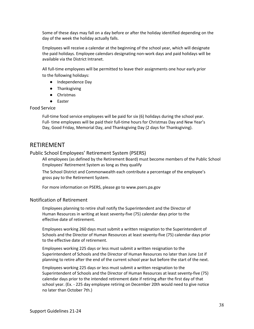Some of these days may fall on a day before or after the holiday identified depending on the day of the week the holiday actually falls.

Employees will receive a calendar at the beginning of the school year, which will designate the paid holidays. Employee calendars designating non-work days and paid holidays will be available via the District Intranet.

All full-time employees will be permitted to leave their assignments one hour early prior to the following holidays:

- Independence Day
- Thanksgiving
- Christmas
- Easter

## Food Service

Full-time food service employees will be paid for six (6) holidays during the school year. Full- time employees will be paid their full-time hours for Christmas Day and New Year's Day, Good Friday, Memorial Day, and Thanksgiving Day (2 days for Thanksgiving).

# RETIREMENT

# Public School Employees' Retirement System (PSERS)

All employees (as defined by the Retirement Board) must become members of the Public School Employees' Retirement System as long as they qualify

The School District and Commonwealth each contribute a percentage of the employee's gross pay to the Retirement System.

For more information on PSERS, please go to www.psers.pa.gov

# Notification of Retirement

Employees planning to retire shall notify the Superintendent and the Director of Human Resources in writing at least seventy-five (75) calendar days prior to the effective date of retirement.

Employees working 260 days must submit a written resignation to the Superintendent of Schools and the Director of Human Resources at least seventy-five (75) calendar days prior to the effective date of retirement.

Employees working 225 days or less must submit a written resignation to the Superintendent of Schools and the Director of Human Resources no later than June 1st if planning to retire after the end of the current school year but before the start of the next.

Employees working 225 days or less must submit a written resignation to the Superintendent of Schools and the Director of Human Resources at least seventy-five (75) calendar days prior to the intended retirement date if retiring after the first day of that school year. (Ex. - 225 day employee retiring on December 20th would need to give notice no later than October 7th.)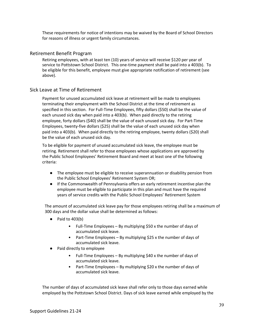These requirements for notice of intentions may be waived by the Board of School Directors for reasons of illness or urgent family circumstances.

# Retirement Benefit Program

Retiring employees, with at least ten (10) years of service will receive \$120 per year of service to Pottstown School District. This one-time payment shall be paid into a 403(b). To be eligible for this benefit, employee must give appropriate notification of retirement (see above).

# Sick Leave at Time of Retirement

Payment for unused accumulated sick leave at retirement will be made to employees terminating their employment with the School District at the time of retirement as specified in this section. For Full-Time Employees, fifty dollars (\$50) shall be the value of each unused sick day when paid into a 403(b). When paid directly to the retiring employee, forty dollars (\$40) shall be the value of each unused sick day. For Part-Time Employees, twenty-five dollars (\$25) shall be the value of each unused sick day when paid into a 403(b). When paid directly to the retiring employee, twenty dollars (\$20) shall be the value of each unused sick day.

To be eligible for payment of unused accumulated sick leave, the employee must be retiring. Retirement shall refer to those employees whose applications are approved by the Public School Employees' Retirement Board and meet at least one of the following criteria:

- The employee must be eligible to receive superannuation or disability pension from the Public School Employees' Retirement System OR;
- If the Commonwealth of Pennsylvania offers an early retirement incentive plan the employee must be eligible to participate in this plan and must have the required years of service credits with the Public School Employees' Retirement System

The amount of accumulated sick leave pay for those employees retiring shall be a maximum of 300 days and the dollar value shall be determined as follows:

- $\bullet$  Paid to 403(b)
	- Full-Time Employees By multiplying \$50 x the number of days of accumulated sick leave.
	- Part-Time Employees By multiplying \$25 x the number of days of accumulated sick leave.
- Paid directly to employee
	- Full-Time Employees By multiplying \$40 x the number of days of accumulated sick leave.
	- Part-Time Employees By multiplying \$20 x the number of days of accumulated sick leave.

The number of days of accumulated sick leave shall refer only to those days earned while employed by the Pottstown School District. Days of sick leave earned while employed by the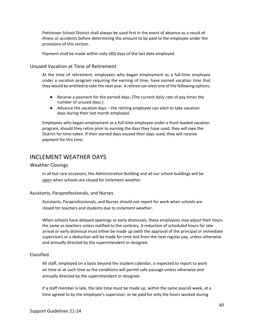Pottstown School District shall always be used first in the event of absence as a result of illness or accidents before determining the amount to be paid to the employee under the provisions of this section.

Payment shall be made within sixty (60) days of the last date employed.

# Unused Vacation at Time of Retirement

At the time of retirement, employees who began employment as a full-time employee under a vacation program requiring the earning of time, have earned vacation time that they would be entitled to take the next year. A retiree can elect one of the following options:

- Receive a payment for the earned days. (The current daily rate of pay times the number of unused days.)
- Advance the vacation days the retiring employee can elect to take vacation days during their last month employed.

Employees who began employment as a full-time employee under a front-loaded vacation program, should they retire prior to earning the days they have used, they will owe the District for time taken. If their earned days exceed their days used, they will receive payment for this time.

# INCLEMENT WEATHER DAYS

#### Weather Closings

In all but rare occasions, the Administration Building and all our school buildings will be open when schools are closed for inclement weather.

#### Assistants, Paraprofessionals, and Nurses

Assistants, Paraprofessionals, and Nurses should not report for work when schools are closed for teachers and students due to inclement weather.

When schools have delayed openings or early dismissals, these employees may adjust their hours the same as teachers unless notified to the contrary. A reduction of scheduled hours for late arrival or early dismissal must either be made up (with the approval of the principal or immediate supervisor) or a deduction will be made for time lost from the next regular pay, unless otherwise and annually directed by the superintendent or designee.

#### Classified

All staff, employed on a basis beyond the student calendar, is expected to report to work on time or at such time as the conditions will permit safe passage unless otherwise and annually directed by the superintendent or designee.

If a staff member is late, the late time must be made up, within the same payroll week, at a time agreed to by the employee's supervisor, or be paid for only the hours worked during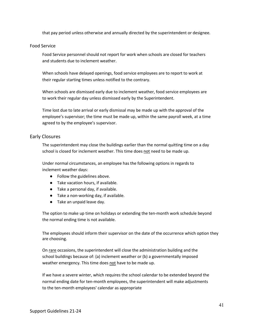that pay period unless otherwise and annually directed by the superintendent or designee.

#### Food Service

Food Service personnel should not report for work when schools are closed for teachers and students due to inclement weather.

When schools have delayed openings, food service employees are to report to work at their regular starting times unless notified to the contrary.

When schools are dismissed early due to inclement weather, food service employees are to work their regular day unless dismissed early by the Superintendent.

Time lost due to late arrival or early dismissal may be made up with the approval of the employee's supervisor; the time must be made up, within the same payroll week, at a time agreed to by the employee's supervisor.

# Early Closures

The superintendent may close the buildings earlier than the normal quitting time on a day school is closed for inclement weather. This time does not need to be made up.

Under normal circumstances, an employee has the following options in regards to inclement weather days:

- Follow the guidelines above.
- Take vacation hours, if available.
- Take a personal day, if available.
- Take a non-working day, if available.
- Take an unpaid leave day.

The option to make up time on holidays or extending the ten-month work schedule beyond the normal ending time is not available.

The employees should inform their supervisor on the date of the occurrence which option they are choosing.

On rare occasions, the superintendent will close the administration building and the school buildings because of: (a) inclement weather or (b) a governmentally imposed weather emergency. This time does not have to be made up.

If we have a severe winter, which requires the school calendar to be extended beyond the normal ending date for ten-month employees, the superintendent will make adjustments to the ten-month employees' calendar as appropriate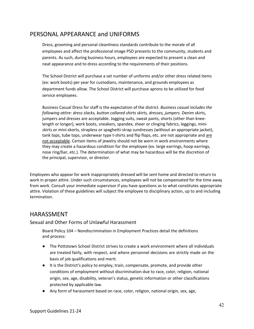# PERSONAL APPEARANCE and UNIFORMS

Dress, grooming and personal cleanliness standards contribute to the morale of all employees and affect the professional image PSD presents to the community, students and parents. As such, during business hours, employees are expected to present a clean and neat appearance and to dress according to the requirements of their positions.

The School District will purchase a set number of uniforms and/or other dress related items (ex: work boots) per year for custodians, maintenance, and grounds employees as department funds allow. The School District will purchase aprons to be utilized for food service employees.

Business Casual Dress for staff is the expectation of the district. *Business casual includes the following attire: dress slacks, button collared shirts skirts, dresses, jumpers.* Denim skirts, jumpers and dresses are acceptable. Jogging suits, sweat pants, shorts (other than kneelength or longer), work boots, sneakers, spandex, sheer or clinging fabrics, leggings, miniskirts or mini-skorts, strapless or spaghetti-strap sundresses (without an appropriate jacket), tank tops, tube tops, underwear type t-shirts and flip flops, etc. are not appropriate and are not acceptable. Certain items of jewelry should not be worn in work environments where they may create a hazardous condition for the employee (ex. large earrings, hoop earrings, nose ring/bar, etc.). The determination of what may be hazardous will be the discretion of the principal, supervisor, or director.

Employees who appear for work inappropriately dressed will be sent home and directed to return to work in proper attire. Under such circumstances, employees will not be compensated for the time away from work. Consult your immediate supervisor if you have questions as to what constitutes appropriate attire. Violation of these guidelines will subject the employee to disciplinary action, up to and including termination.

# HARASSMENT

# Sexual and Other Forms of Unlawful Harassment

Board Policy 104 – Nondiscrimination in Employment Practices detail the definitions and process:

- The Pottstown School District strives to create a work environment where all individuals are treated fairly, with respect, and where personnel decisions are strictly made on the basis of job qualifications and merit.
- It is the District's policy to employ, train, compensate, promote, and provide other conditions of employment without discrimination due to race, color, religion, national origin, sex, age, disability, veteran's status, genetic information or other classifications protected by applicable law.
- Any form of harassment based on race, color, religion, national origin, sex, age,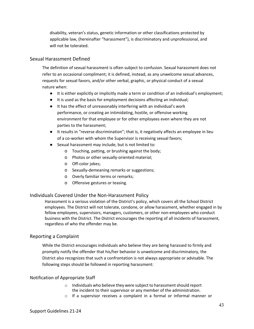disability, veteran's status, genetic information or other classifications protected by applicable law, (hereinafter "harassment"), is discriminatory and unprofessional, and will not be tolerated.

# Sexual Harassment Defined

The definition of sexual harassment is often subject to confusion. Sexual harassment does not refer to an occasional compliment; it is defined, instead, as any unwelcome sexual advances, requests for sexual favors, and/or other verbal, graphic, or physical conduct of a sexual nature when:

- It is either explicitly or implicitly made a term or condition of an individual's employment;
- It is used as the basis for employment decisions affecting an individual;
- It has the effect of unreasonably interfering with an individual's work performance, or creating an intimidating, hostile, or offensive working environment for that employee or for other employees even where they are not parties to the harassment;
- It results in "reverse discrimination"; that is, it negatively affects an employee in lieu of a co-worker with whom the Supervisor is receiving sexual favors;
- Sexual harassment may include, but is not limited to:
	- o Touching, patting, or brushing against the body;
	- o Photos or other sexually-oriented material;
	- o Off-color jokes;
	- o Sexually-demeaning remarks or suggestions;
	- o Overly familiar terms or remarks;
	- o Offensive gestures or teasing.

# Individuals Covered Under the Non-Harassment Policy

Harassment is a serious violation of the District's policy, which covers all the School District employees. The District will not tolerate, condone, or allow harassment, whether engaged in by fellow employees, supervisors, managers, customers, or other non-employees who conduct business with the District. The District encourages the reporting of all incidents of harassment, regardless of who the offender may be.

# Reporting a Complaint

While the District encourages individuals who believe they are being harassed to firmly and promptly notify the offender that his/her behavior is unwelcome and discriminatory, the District also recognizes that such a confrontation is not always appropriate or advisable. The following steps should be followed in reporting harassment:

# Notification of Appropriate Staff

- o Individuals who believe they were subject to harassment should report the incident to their supervisor or any member of the administration.
- o If a supervisor receives a complaint in a formal or informal manner or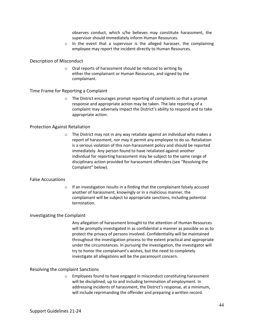observes conduct, which s/he believes may constitute harassment, the supervisor should immediately inform Human Resources.

 $\circ$  In the event that a supervisor is the alleged harasser, the complaining employee may report the incident directly to Human Resources.

#### Description of Misconduct

o Oral reports of harassment should be reduced to writing by either the complainant or Human Resources, and signed by the complainant.

#### Time Frame for Reporting a Complaint

o The District encourages prompt reporting of complaints so that a prompt response and appropriate action may be taken. The late reporting of a complaint may adversely impact the District's ability to respond and to take appropriate action.

#### Protection Against Retaliation

o The District may not in any way retaliate against an individual who makes a report of harassment, nor may it permit any employee to do so. Retaliation is a serious violation of this non-harassment policy and should be reported immediately. Any person found to have retaliated against another individual for reporting harassment may be subject to the same range of disciplinary action provided for harassment offenders (see "Resolving the Complaint" below).

### False Accusations

o If an investigation results in a finding that the complainant falsely accused another of harassment, knowingly or in a malicious manner, the complainant will be subject to appropriate sanctions, including potential termination.

### Investigating the Complaint

Any allegation of harassment brought to the attention of Human Resources will be promptly investigated in as confidential a manner as possible so as to protect the privacy of persons involved. Confidentiality will be maintained throughout the investigation process to the extent practical and appropriate under the circumstances. In pursuing the investigation, the investigator will try to honor the complainant's wishes, but the need to completely investigate all allegations will be the paramount concern.

### Resolving the complaint Sanctions

Employees found to have engaged in misconduct constituting harassment will be disciplined, up to and including termination of employment. In addressing incidents of harassment, the District's response, at a minimum, will include reprimanding the offender and preparing a written record.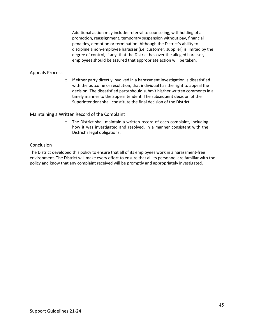Additional action may include: referral to counseling, withholding of a promotion, reassignment, temporary suspension without pay, financial penalties, demotion or termination. Although the District's ability to discipline a non-employee harasser (i.e. customer, supplier) is limited by the degree of control, if any, that the District has over the alleged harasser, employees should be assured that appropriate action will be taken.

#### Appeals Process

o If either party directly involved in a harassment investigation is dissatisfied with the outcome or resolution, that individual has the right to appeal the decision. The dissatisfied party should submit his/her written comments in a timely manner to the Superintendent. The subsequent decision of the Superintendent shall constitute the final decision of the District.

### Maintaining a Written Record of the Complaint

o The District shall maintain a written record of each complaint, including how it was investigated and resolved, in a manner consistent with the District's legal obligations.

#### **Conclusion**

The District developed this policy to ensure that all of its employees work in a harassment-free environment. The District will make every effort to ensure that all its personnel are familiar with the policy and know that any complaint received will be promptly and appropriately investigated.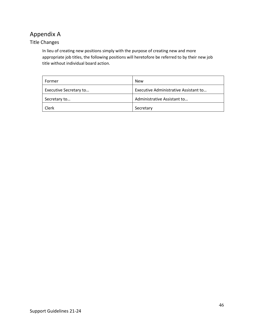# Appendix A

# Title Changes

In lieu of creating new positions simply with the purpose of creating new and more appropriate job titles, the following positions will heretofore be referred to by their new job title without individual board action.

| Former                 | <b>New</b>                            |  |
|------------------------|---------------------------------------|--|
| Executive Secretary to | Executive Administrative Assistant to |  |
| Secretary to           | Administrative Assistant to           |  |
| Clerk                  | Secretary                             |  |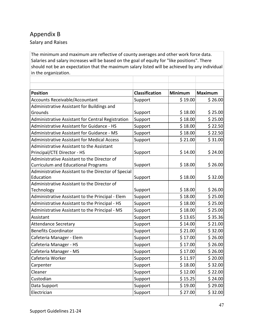# Appendix B

Salary and Raises

The minimum and maximum are reflective of county averages and other work force data. Salaries and salary increases will be based on the goal of equity for "like positions". There should not be an expectation that the maximum salary listed will be achieved by any individual in the organization.

| <b>Position</b>                                     | Classification | <b>Minimum</b> | <b>Maximum</b> |
|-----------------------------------------------------|----------------|----------------|----------------|
| <b>Accounts Receivable/Accountant</b>               | Support        | \$19.00        | \$26.00        |
| Administrative Assistant for Buildings and          |                |                |                |
| Grounds                                             | Support        | \$18.00        | \$25.00        |
| Administrative Assistant for Central Registration   | Support        | \$18.00        | \$25.00        |
| <b>Administrative Assistant for Guidance - HS</b>   | Support        | \$18.00        | \$22.50        |
| <b>Administrative Assistant for Guidance - MS</b>   | Support        | \$18.00        | \$22.50        |
| <b>Administrative Assistant for Medical Access</b>  | Support        | \$21.00        | \$31.00        |
| Administrative Assistant to the Assistant           |                |                |                |
| Principal/CTE Director - HS                         | Support        | \$14.00        | \$24.00        |
| Administrative Assistant to the Director of         |                |                |                |
| <b>Curriculum and Educational Programs</b>          | Support        | \$18.00        | \$26.00        |
| Administrative Assistant to the Director of Special |                |                |                |
| Education                                           | Support        | \$18.00        | \$32.00        |
| Administrative Assistant to the Director of         |                |                |                |
| Technology                                          | Support        | \$18.00        | \$26.00        |
| Administrative Assistant to the Principal - Elem    | Support        | \$18.00        | \$25.00        |
| Administrative Assistant to the Principal - HS      | Support        | \$18.00        | \$25.00        |
| Administrative Assistant to the Principal - MS      | Support        | \$18.00        | \$25.00        |
| Assistant                                           | Support        | \$13.65        | \$35.36        |
| <b>Attendance Secretary</b>                         | Support        | \$14.00        | \$21.00        |
| <b>Benefits Coordinator</b>                         | Support        | \$21.00        | \$32.00        |
| Cafeteria Manager - Elem                            | Support        | \$17.00        | \$26.00        |
| Cafeteria Manager - HS                              | Support        | \$17.00        | \$26.00        |
| Cafeteria Manager - MS                              | Support        | \$17.00        | \$26.00        |
| Cafeteria Worker                                    | Support        | \$11.97        | \$20.00        |
| Carpenter                                           | Support        | \$18.00        | \$32.00        |
| Cleaner                                             | Support        | \$12.00        | \$22.00        |
| Custodian                                           | Support        | \$15.25        | \$24.00        |
| Data Support                                        | Support        | \$19.00        | \$29.00        |
| Electrician                                         | Support        | \$27.00        | \$32.00        |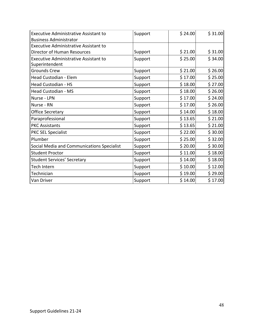| <b>Executive Administrative Assistant to</b>                   | Support | \$24.00 | \$31.00 |
|----------------------------------------------------------------|---------|---------|---------|
| <b>Business Administrator</b>                                  |         |         |         |
| <b>Executive Administrative Assistant to</b>                   |         |         |         |
| <b>Director of Human Resources</b>                             | Support | \$21.00 | \$31.00 |
| <b>Executive Administrative Assistant to</b><br>Superintendent | Support | \$25.00 | \$34.00 |
| <b>Grounds Crew</b>                                            | Support | \$21.00 | \$26.00 |
| Head Custodian - Elem                                          | Support | \$17.00 | \$25.00 |
| Head Custodian - HS                                            | Support | \$18.00 | \$27.00 |
| Head Custodian - MS                                            | Support | \$18.00 | \$26.00 |
| Nurse - LPN                                                    | Support | \$17.00 | \$24.00 |
| Nurse - RN                                                     | Support | \$17.00 | \$26.00 |
| <b>Office Secretary</b>                                        | Support | \$14.00 | \$18.00 |
| Paraprofessional                                               | Support | \$13.65 | \$21.00 |
| <b>PKC Assistants</b>                                          | Support | \$13.65 | \$21.00 |
| <b>PKC SEL Specialist</b>                                      | Support | \$22.00 | \$30.00 |
| Plumber                                                        | Support | \$25.00 | \$32.00 |
| Social Media and Communications Specialist                     | Support | \$20.00 | \$30.00 |
| <b>Student Proctor</b>                                         | Support | \$11.00 | \$18.00 |
| <b>Student Services' Secretary</b>                             | Support | \$14.00 | \$18.00 |
| Tech Intern                                                    | Support | \$10.00 | \$12.00 |
| Technician                                                     | Support | \$19.00 | \$29.00 |
| Van Driver                                                     | Support | \$14.00 | \$17.00 |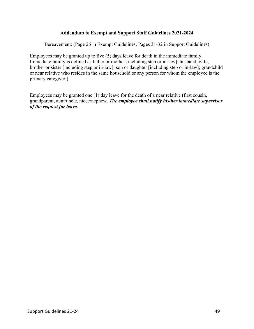# **Addendum to Exempt and Support Staff Guidelines 2021-2024**

Bereavement: (Page 26 in Exempt Guidelines; Pages 31-32 in Support Guidelines)

Employees may be granted up to five (5) days leave for death in the immediate family. Immediate family is defined as father or mother [including step or in-law]; husband, wife, brother or sister [including step or in-law]; son or daughter [including step or in-law]; grandchild or near relative who resides in the same household or any person for whom the employee is the primary caregiver.)

Employees may be granted one (1) day leave for the death of a near relative (first cousin, grandparent, aunt/uncle, niece/nephew. *The employee shall notify his/her immediate supervisor of the request for leave.*